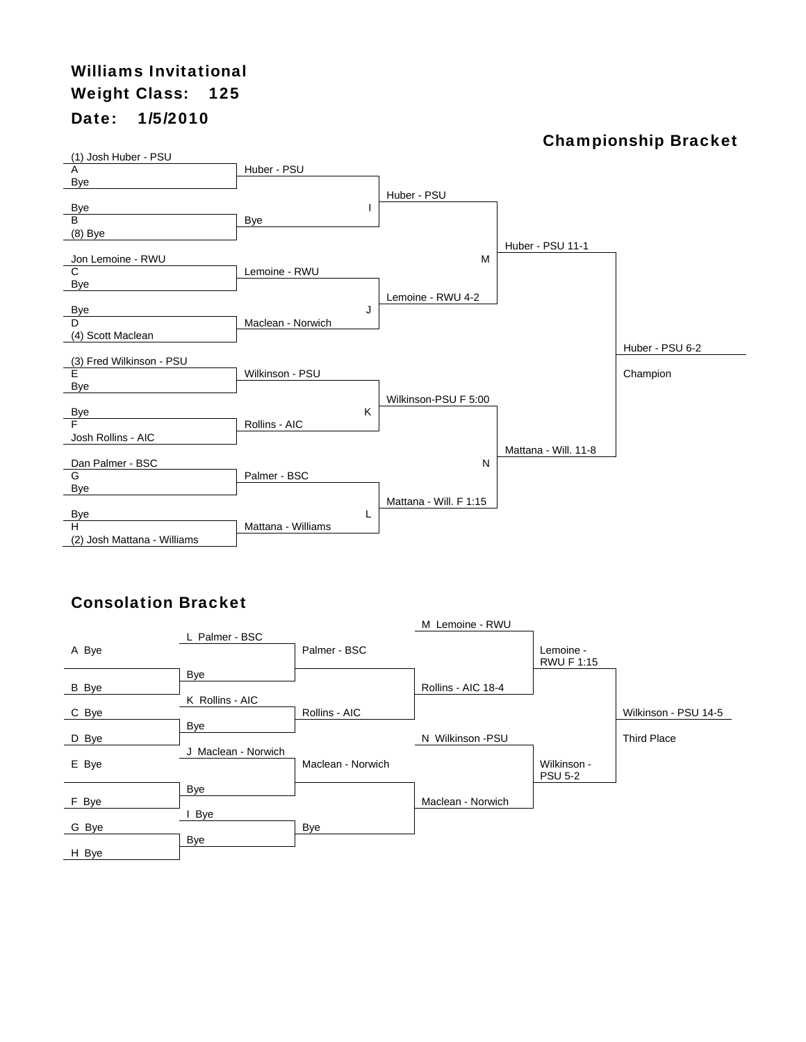## Williams Invitational Weight Class: 125 Date: 1/5/2010

#### Championship Bracket



|       | L Palmer - BSC      |                   | M Lemoine - RWU    |                                |                      |
|-------|---------------------|-------------------|--------------------|--------------------------------|----------------------|
| A Bye |                     | Palmer - BSC      |                    | Lemoine -<br><b>RWU F 1:15</b> |                      |
| B Bye | Bye                 |                   | Rollins - AIC 18-4 |                                |                      |
| C Bye | K Rollins - AIC     | Rollins - AIC     |                    |                                | Wilkinson - PSU 14-5 |
| D Bye | Bye                 |                   | N Wilkinson -PSU   |                                | <b>Third Place</b>   |
| E Bye | J Maclean - Norwich | Maclean - Norwich |                    | Wilkinson -<br><b>PSU 5-2</b>  |                      |
| F Bye | Bye                 |                   | Maclean - Norwich  |                                |                      |
| G Bye | I Bye               | Bye               |                    |                                |                      |
| H Bye | Bye                 |                   |                    |                                |                      |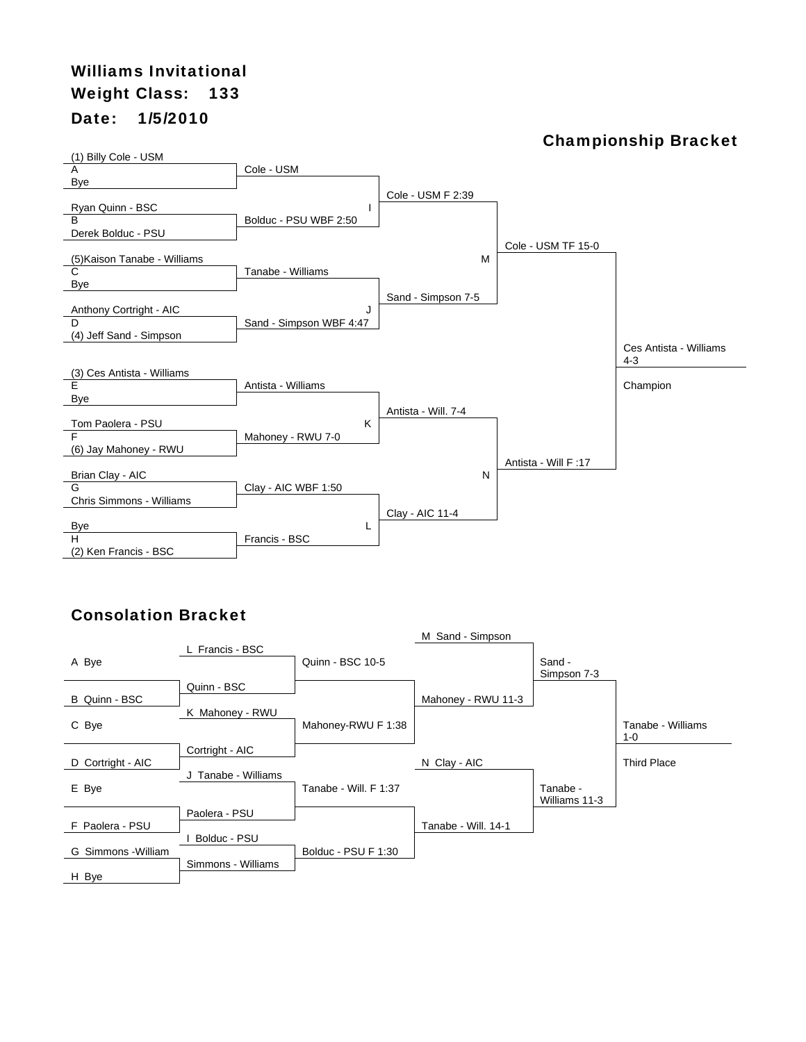# Williams Invitational Weight Class: 133 Date: 1/5/2010

#### Championship Bracket



|                     |                    |                       | M Sand - Simpson    |                       |                          |
|---------------------|--------------------|-----------------------|---------------------|-----------------------|--------------------------|
| A Bye               | L Francis - BSC    | Quinn - BSC 10-5      |                     | Sand -<br>Simpson 7-3 |                          |
| B Quinn - BSC       | Quinn - BSC        |                       |                     |                       |                          |
|                     | K Mahoney - RWU    |                       | Mahoney - RWU 11-3  |                       |                          |
| C Bye               |                    | Mahoney-RWU F 1:38    |                     |                       | Tanabe - Williams<br>1-0 |
|                     | Cortright - AIC    |                       |                     |                       |                          |
| D Cortright - AIC   |                    |                       | N Clay - AIC        |                       | <b>Third Place</b>       |
|                     | Tanabe - Williams  |                       |                     |                       |                          |
| E Bye               |                    | Tanabe - Will. F 1:37 |                     | Tanabe -              |                          |
|                     | Paolera - PSU      |                       |                     | Williams 11-3         |                          |
| F Paolera - PSU     |                    |                       | Tanabe - Will. 14-1 |                       |                          |
|                     | Bolduc - PSU       |                       |                     |                       |                          |
| G Simmons - William |                    | Bolduc - PSU F 1:30   |                     |                       |                          |
| H Bye               | Simmons - Williams |                       |                     |                       |                          |
|                     |                    |                       |                     |                       |                          |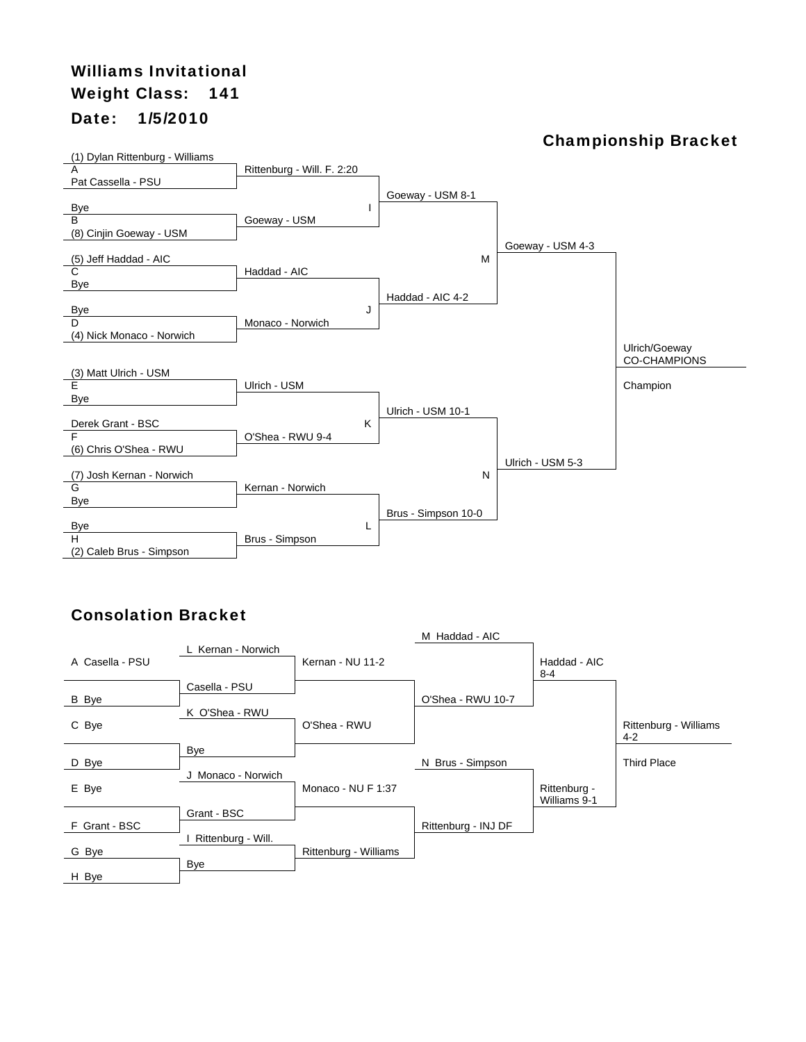## Williams Invitational Weight Class: 141 Date: 1/5/2010

#### Championship Bracket



|                 |                    |                       | M Haddad - AIC      |                              |                                  |
|-----------------|--------------------|-----------------------|---------------------|------------------------------|----------------------------------|
| A Casella - PSU | L Kernan - Norwich | Kernan - NU 11-2      |                     | Haddad - AIC<br>$8 - 4$      |                                  |
|                 | Casella - PSU      |                       |                     |                              |                                  |
| B Bye           |                    |                       | O'Shea - RWU 10-7   |                              |                                  |
| C Bye           | K O'Shea - RWU     | O'Shea - RWU          |                     |                              | Rittenburg - Williams<br>$4 - 2$ |
|                 | Bye                |                       |                     |                              |                                  |
| D Bye           |                    |                       | N Brus - Simpson    |                              | <b>Third Place</b>               |
| E Bye           | J Monaco - Norwich | Monaco - NU F 1:37    |                     | Rittenburg -<br>Williams 9-1 |                                  |
|                 | Grant - BSC        |                       |                     |                              |                                  |
| F Grant - BSC   |                    |                       | Rittenburg - INJ DF |                              |                                  |
| G Bye           | Rittenburg - Will. | Rittenburg - Williams |                     |                              |                                  |
| H Bye           | Bye                |                       |                     |                              |                                  |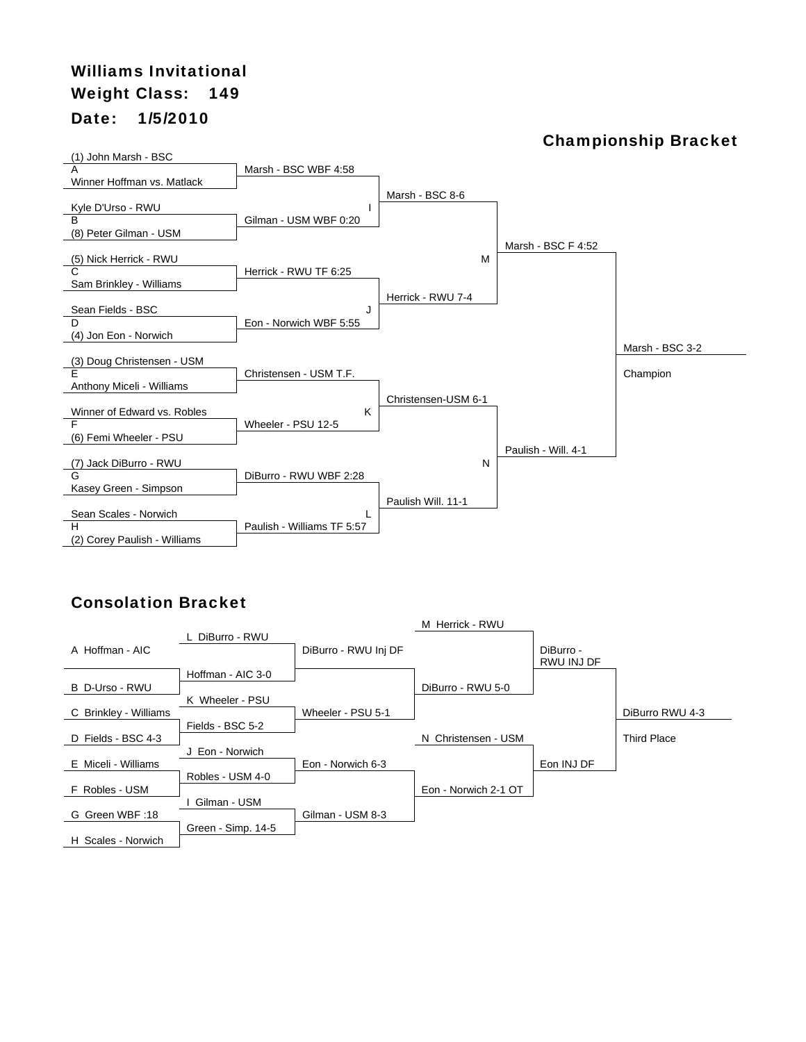# Williams Invitational Weight Class: 149 Date: 1/5/2010

#### Championship Bracket



|                       |                    |                      | M Herrick - RWU      |            |                    |
|-----------------------|--------------------|----------------------|----------------------|------------|--------------------|
|                       | L DiBurro - RWU    |                      |                      |            |                    |
| A Hoffman - AIC       |                    | DiBurro - RWU Inj DF |                      | DiBurro -  |                    |
|                       |                    |                      |                      | RWU INJ DF |                    |
|                       | Hoffman - AIC 3-0  |                      |                      |            |                    |
| B D-Urso - RWU        |                    |                      | DiBurro - RWU 5-0    |            |                    |
|                       | K Wheeler - PSU    |                      |                      |            |                    |
| C Brinkley - Williams |                    | Wheeler - PSU 5-1    |                      |            | DiBurro RWU 4-3    |
|                       | Fields - BSC 5-2   |                      |                      |            |                    |
| D Fields - BSC 4-3    |                    |                      | N Christensen - USM  |            | <b>Third Place</b> |
|                       | Eon - Norwich      |                      |                      |            |                    |
| E Miceli - Williams   |                    | Eon - Norwich 6-3    |                      | Eon INJ DF |                    |
|                       | Robles - USM 4-0   |                      |                      |            |                    |
| F Robles - USM        |                    |                      | Eon - Norwich 2-1 OT |            |                    |
|                       | Gilman - USM       |                      |                      |            |                    |
| G Green WBF:18        |                    | Gilman - USM 8-3     |                      |            |                    |
|                       | Green - Simp. 14-5 |                      |                      |            |                    |
| H Scales - Norwich    |                    |                      |                      |            |                    |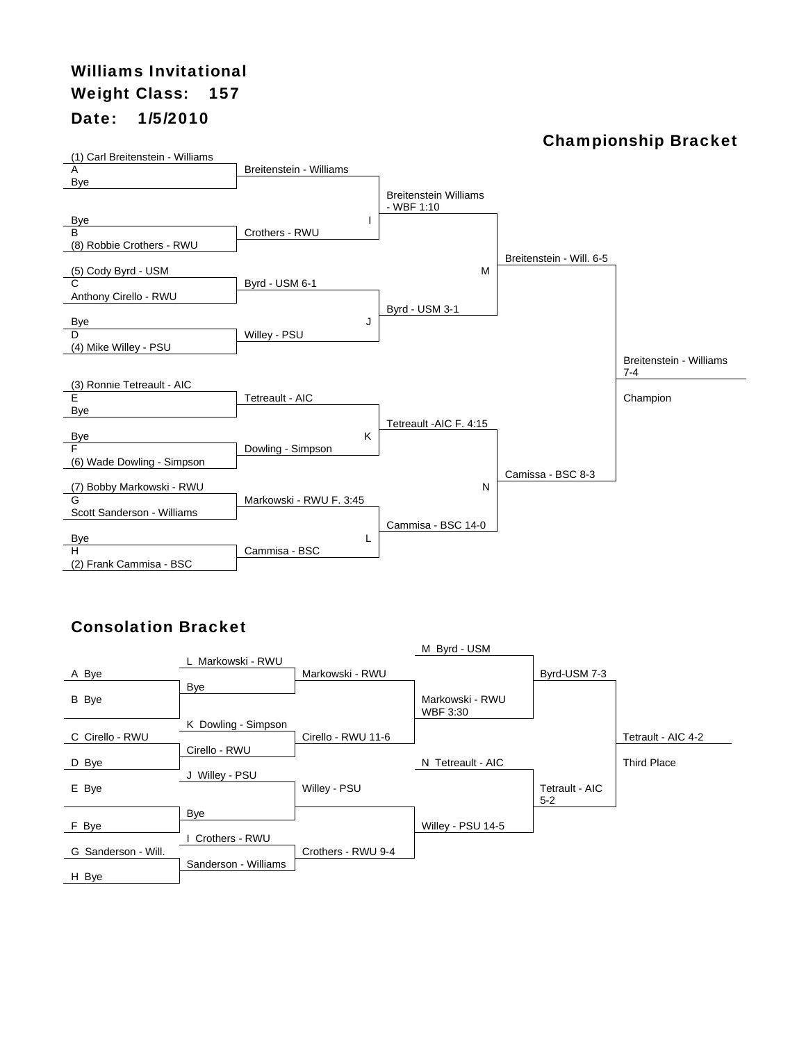## Williams Invitational Weight Class: 157 Date: 1/5/2010

#### Championship Bracket



|                     |                      |                    | M Byrd - USM      |                |                    |
|---------------------|----------------------|--------------------|-------------------|----------------|--------------------|
|                     | L Markowski - RWU    |                    |                   |                |                    |
| A Bye               |                      | Markowski - RWU    |                   | Byrd-USM 7-3   |                    |
|                     | Bye                  |                    |                   |                |                    |
| B Bye               |                      |                    | Markowski - RWU   |                |                    |
|                     |                      |                    | WBF 3:30          |                |                    |
|                     | K Dowling - Simpson  |                    |                   |                |                    |
| C Cirello - RWU     |                      | Cirello - RWU 11-6 |                   |                | Tetrault - AIC 4-2 |
|                     | Cirello - RWU        |                    |                   |                |                    |
| D Bye               |                      |                    | N Tetreault - AIC |                | <b>Third Place</b> |
|                     | Willey - PSU<br>J    |                    |                   |                |                    |
| E Bye               |                      | Willey - PSU       |                   | Tetrault - AIC |                    |
|                     |                      |                    |                   | $5 - 2$        |                    |
|                     | Bye                  |                    |                   |                |                    |
| F Bye               |                      |                    | Willey - PSU 14-5 |                |                    |
|                     | Crothers - RWU       |                    |                   |                |                    |
| G Sanderson - Will. |                      | Crothers - RWU 9-4 |                   |                |                    |
|                     | Sanderson - Williams |                    |                   |                |                    |
| H Bye               |                      |                    |                   |                |                    |
|                     |                      |                    |                   |                |                    |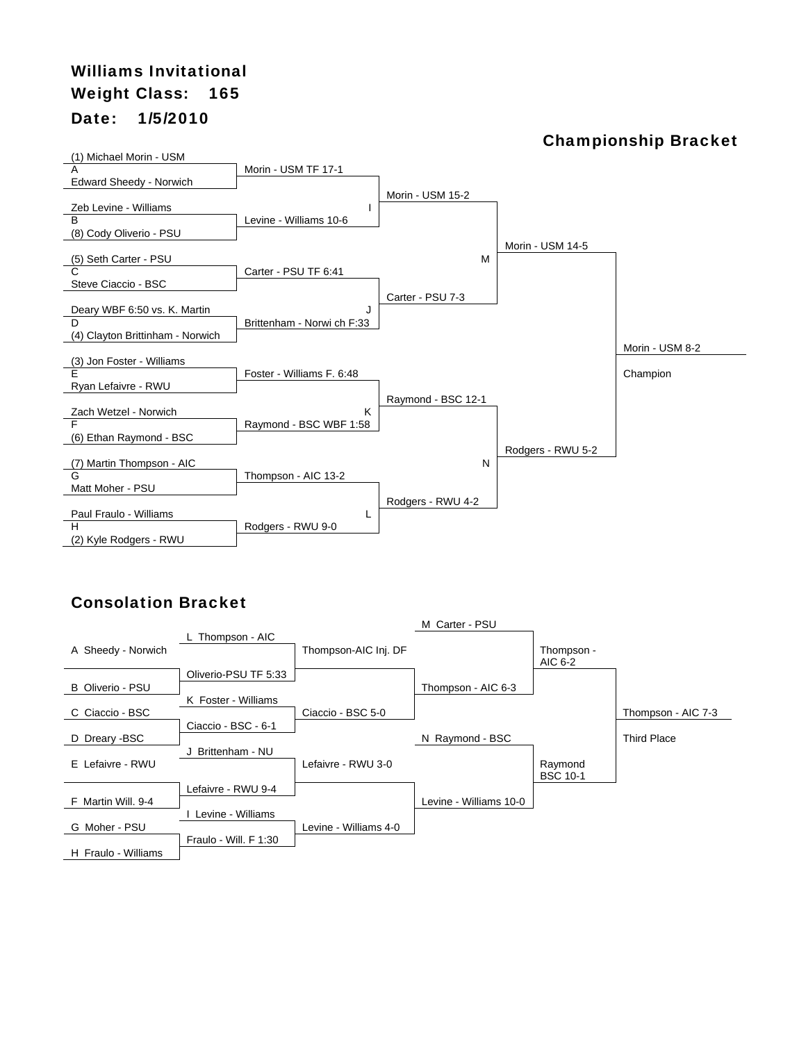# Williams Invitational Weight Class: 165 Date: 1/5/2010

#### Championship Bracket



|                         |                       |                       | M Carter - PSU         |                 |                    |
|-------------------------|-----------------------|-----------------------|------------------------|-----------------|--------------------|
|                         | L Thompson - AIC      |                       |                        |                 |                    |
| A Sheedy - Norwich      |                       | Thompson-AIC Inj. DF  |                        | Thompson -      |                    |
|                         |                       |                       |                        | AIC 6-2         |                    |
|                         | Oliverio-PSU TF 5:33  |                       |                        |                 |                    |
| <b>B</b> Oliverio - PSU |                       |                       | Thompson - AIC 6-3     |                 |                    |
|                         | K Foster - Williams   |                       |                        |                 |                    |
| C Ciaccio - BSC         |                       | Ciaccio - BSC 5-0     |                        |                 | Thompson - AIC 7-3 |
|                         | Ciaccio - BSC - 6-1   |                       |                        |                 |                    |
| D Dreary -BSC           |                       |                       | N Raymond - BSC        |                 | <b>Third Place</b> |
|                         | J Brittenham - NU     |                       |                        |                 |                    |
| E Lefaivre - RWU        |                       | Lefaivre - RWU 3-0    |                        | Raymond         |                    |
|                         |                       |                       |                        | <b>BSC 10-1</b> |                    |
|                         | Lefaivre - RWU 9-4    |                       |                        |                 |                    |
| F Martin Will, 9-4      |                       |                       | Levine - Williams 10-0 |                 |                    |
|                         | Levine - Williams     |                       |                        |                 |                    |
| G Moher - PSU           |                       | Levine - Williams 4-0 |                        |                 |                    |
|                         | Fraulo - Will. F 1:30 |                       |                        |                 |                    |
| H Fraulo - Williams     |                       |                       |                        |                 |                    |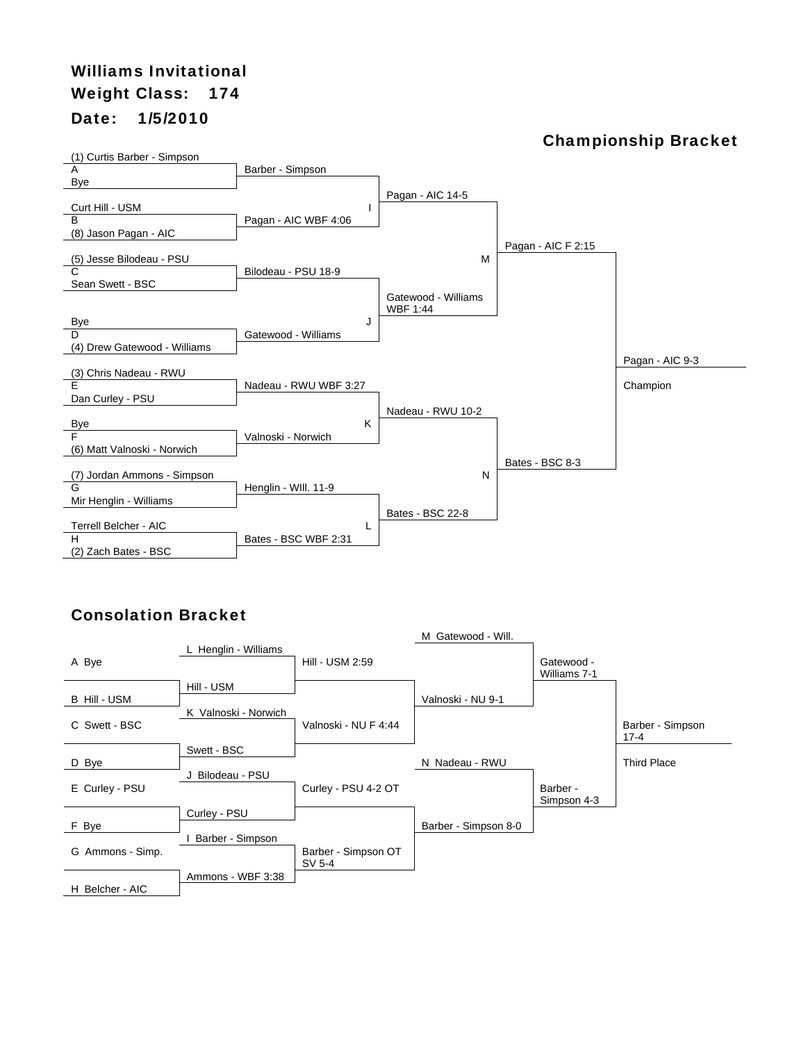## Williams Invitational Weight Class: 174 Date: 1/5/2010

#### Championship Bracket



|                  |                      |                      | M Gatewood - Will.   |                            |                          |
|------------------|----------------------|----------------------|----------------------|----------------------------|--------------------------|
| A Bye            | L Henglin - Williams | Hill - USM 2:59      |                      | Gatewood -<br>Williams 7-1 |                          |
|                  | Hill - USM           |                      |                      |                            |                          |
| B Hill - USM     |                      |                      | Valnoski - NU 9-1    |                            |                          |
|                  | K Valnoski - Norwich |                      |                      |                            |                          |
| C Swett - BSC    |                      | Valnoski - NU F 4:44 |                      |                            | Barber - Simpson<br>17-4 |
|                  | Swett - BSC          |                      |                      |                            |                          |
| D Bye            |                      |                      | N Nadeau - RWU       |                            | <b>Third Place</b>       |
|                  | J Bilodeau - PSU     |                      |                      |                            |                          |
| E Curley - PSU   |                      | Curley - PSU 4-2 OT  |                      | Barber -                   |                          |
|                  |                      |                      |                      | Simpson 4-3                |                          |
|                  | Curley - PSU         |                      |                      |                            |                          |
| F Bye            | Barber - Simpson     |                      | Barber - Simpson 8-0 |                            |                          |
|                  |                      |                      |                      |                            |                          |
|                  |                      | SV 5-4               |                      |                            |                          |
|                  | Ammons - WBF 3:38    |                      |                      |                            |                          |
| H Belcher - AIC  |                      |                      |                      |                            |                          |
| G Ammons - Simp. |                      | Barber - Simpson OT  |                      |                            |                          |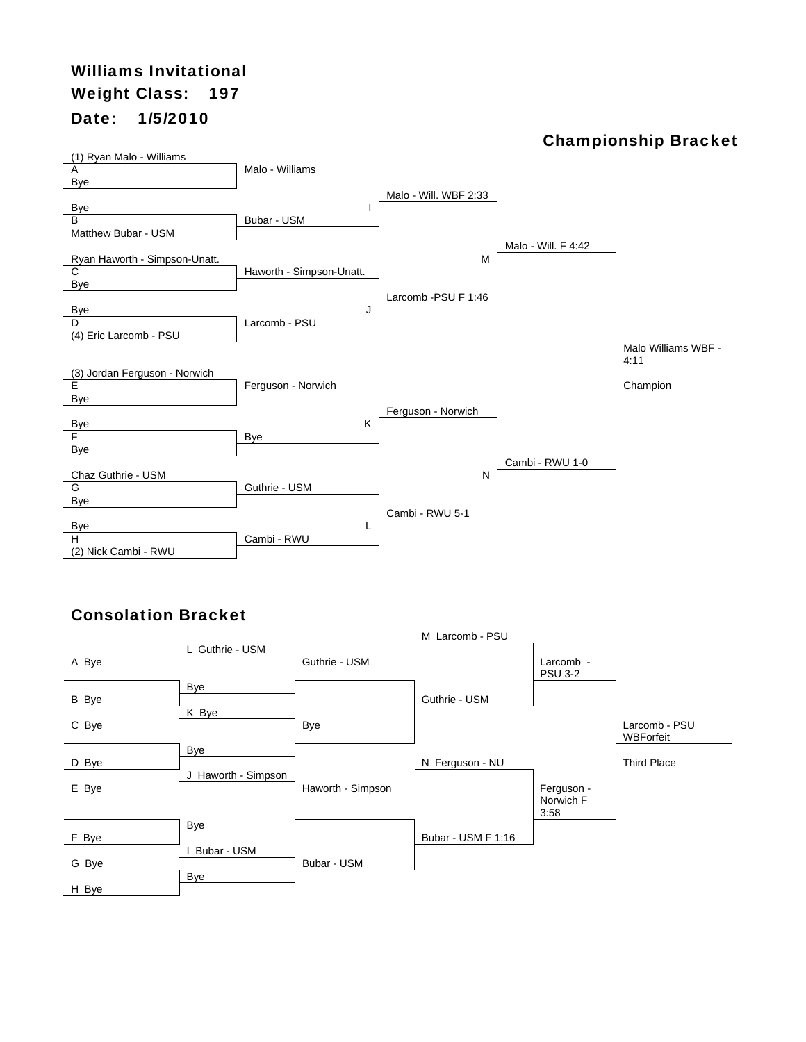# Williams Invitational Weight Class: 197 Date: 1/5/2010

#### Championship Bracket



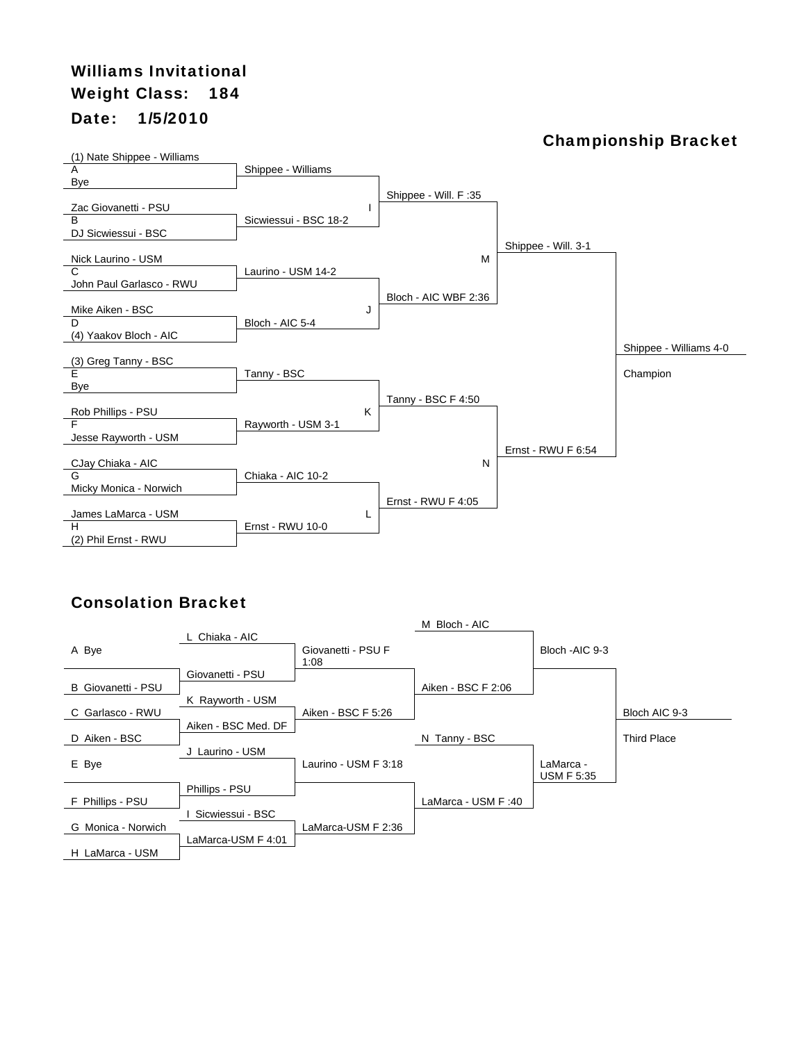# Williams Invitational Weight Class: 184 Date: 1/5/2010

#### Championship Bracket



|                    |                     |                            | M Bloch - AIC      |                   |                    |
|--------------------|---------------------|----------------------------|--------------------|-------------------|--------------------|
| A Bye              | L Chiaka - AIC      | Giovanetti - PSU F<br>1:08 |                    | Bloch - AIC 9-3   |                    |
|                    | Giovanetti - PSU    |                            |                    |                   |                    |
| B Giovanetti - PSU |                     |                            | Aiken - BSC F 2:06 |                   |                    |
|                    | K Rayworth - USM    |                            |                    |                   |                    |
| C Garlasco - RWU   |                     | Aiken - BSC F 5:26         |                    |                   | Bloch AIC 9-3      |
|                    | Aiken - BSC Med. DF |                            |                    |                   |                    |
| D Aiken - BSC      |                     |                            | N Tanny - BSC      |                   | <b>Third Place</b> |
|                    | J Laurino - USM     |                            |                    |                   |                    |
| E Bye              |                     | Laurino - USM F 3:18       |                    | LaMarca -         |                    |
|                    |                     |                            |                    | <b>USM F 5:35</b> |                    |
|                    | Phillips - PSU      |                            |                    |                   |                    |
| F Phillips - PSU   |                     |                            | LaMarca - USM F:40 |                   |                    |
|                    | Sicwiessui - BSC    |                            |                    |                   |                    |
| G Monica - Norwich |                     | LaMarca-USM F 2:36         |                    |                   |                    |
|                    | LaMarca-USM F 4:01  |                            |                    |                   |                    |
| H LaMarca - USM    |                     |                            |                    |                   |                    |